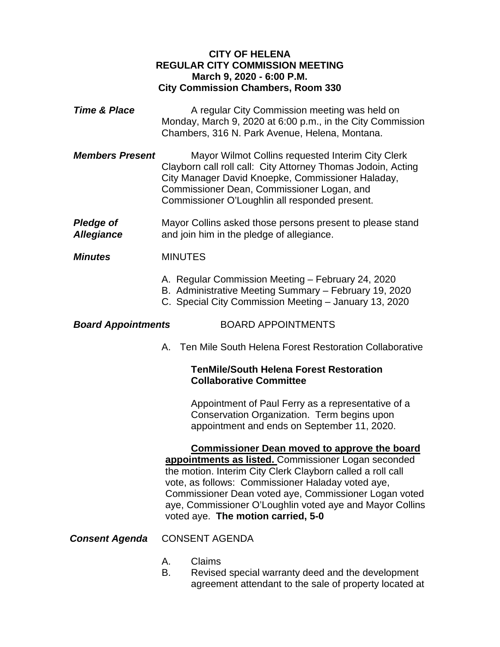### **CITY OF HELENA REGULAR CITY COMMISSION MEETING March 9, 2020 - 6:00 P.M. City Commission Chambers, Room 330**

- **Time & Place** A regular City Commission meeting was held on Monday, March 9, 2020 at 6:00 p.m., in the City Commission Chambers, 316 N. Park Avenue, Helena, Montana.
- *Members Present* Mayor Wilmot Collins requested Interim City Clerk Clayborn call roll call: City Attorney Thomas Jodoin, Acting City Manager David Knoepke, Commissioner Haladay, Commissioner Dean, Commissioner Logan, and Commissioner O'Loughlin all responded present.

**Pledge of** Mayor Collins asked those persons present to please stand *Allegiance* and join him in the pledge of allegiance.

### *Minutes* MINUTES

- A. Regular Commission Meeting February 24, 2020
- B. Administrative Meeting Summary February 19, 2020
- C. Special City Commission Meeting January 13, 2020

### *Board Appointments* BOARD APPOINTMENTS

- 
- A. Ten Mile South Helena Forest Restoration Collaborative

### **TenMile/South Helena Forest Restoration Collaborative Committee**

Appointment of Paul Ferry as a representative of a Conservation Organization. Term begins upon appointment and ends on September 11, 2020.

**Commissioner Dean moved to approve the board appointments as listed.** Commissioner Logan seconded the motion. Interim City Clerk Clayborn called a roll call vote, as follows: Commissioner Haladay voted aye, Commissioner Dean voted aye, Commissioner Logan voted aye, Commissioner O'Loughlin voted aye and Mayor Collins voted aye. **The motion carried, 5-0**

# *Consent Agenda* CONSENT AGENDA

- A. Claims
- B. Revised special warranty deed and the development agreement attendant to the sale of property located at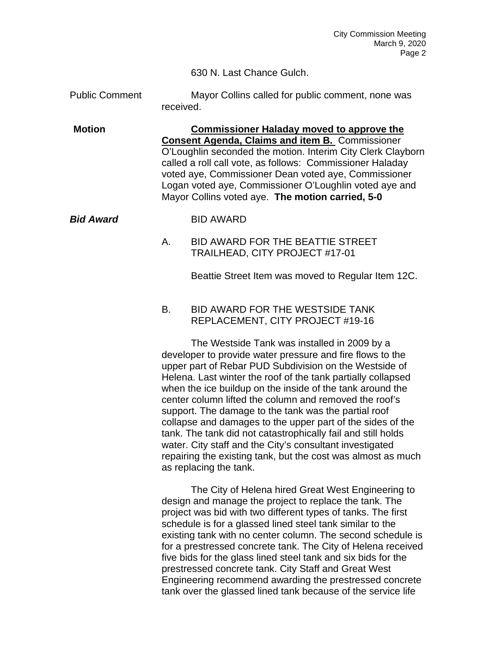630 N. Last Chance Gulch.

Public Comment Mayor Collins called for public comment, none was received.

**Motion Commissioner Haladay moved to approve the Consent Agenda, Claims and item B.** Commissioner O'Loughlin seconded the motion. Interim City Clerk Clayborn called a roll call vote, as follows: Commissioner Haladay voted aye, Commissioner Dean voted aye, Commissioner Logan voted aye, Commissioner O'Loughlin voted aye and Mayor Collins voted aye. **The motion carried, 5-0**

*Bid Award* BID AWARD

## A. BID AWARD FOR THE BEATTIE STREET TRAILHEAD, CITY PROJECT #17-01

Beattie Street Item was moved to Regular Item 12C.

### B. BID AWARD FOR THE WESTSIDE TANK REPLACEMENT, CITY PROJECT #19-16

The Westside Tank was installed in 2009 by a developer to provide water pressure and fire flows to the upper part of Rebar PUD Subdivision on the Westside of Helena. Last winter the roof of the tank partially collapsed when the ice buildup on the inside of the tank around the center column lifted the column and removed the roof's support. The damage to the tank was the partial roof collapse and damages to the upper part of the sides of the tank. The tank did not catastrophically fail and still holds water. City staff and the City's consultant investigated repairing the existing tank, but the cost was almost as much as replacing the tank.

The City of Helena hired Great West Engineering to design and manage the project to replace the tank. The project was bid with two different types of tanks. The first schedule is for a glassed lined steel tank similar to the existing tank with no center column. The second schedule is for a prestressed concrete tank. The City of Helena received five bids for the glass lined steel tank and six bids for the prestressed concrete tank. City Staff and Great West Engineering recommend awarding the prestressed concrete tank over the glassed lined tank because of the service life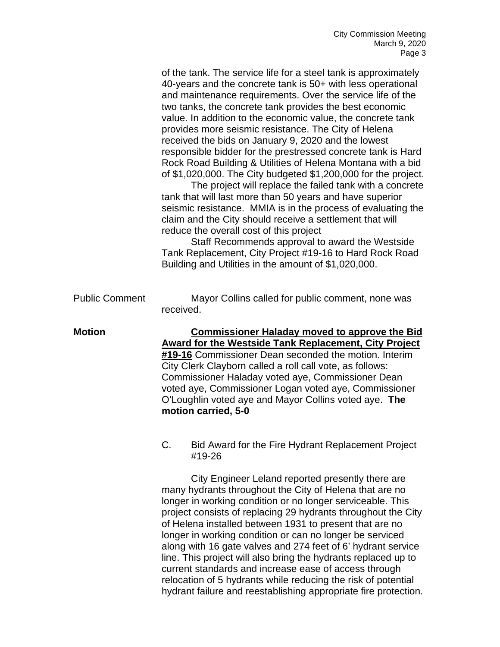of the tank. The service life for a steel tank is approximately 40-years and the concrete tank is 50+ with less operational and maintenance requirements. Over the service life of the two tanks, the concrete tank provides the best economic value. In addition to the economic value, the concrete tank provides more seismic resistance. The City of Helena received the bids on January 9, 2020 and the lowest responsible bidder for the prestressed concrete tank is Hard Rock Road Building & Utilities of Helena Montana with a bid of \$1,020,000. The City budgeted \$1,200,000 for the project.

The project will replace the failed tank with a concrete tank that will last more than 50 years and have superior seismic resistance. MMIA is in the process of evaluating the claim and the City should receive a settlement that will reduce the overall cost of this project

Staff Recommends approval to award the Westside Tank Replacement, City Project #19-16 to Hard Rock Road Building and Utilities in the amount of \$1,020,000.

Public Comment Mayor Collins called for public comment, none was received.

**Motion Commissioner Haladay moved to approve the Bid Award for the Westside Tank Replacement, City Project #19-16** Commissioner Dean seconded the motion. Interim City Clerk Clayborn called a roll call vote, as follows: Commissioner Haladay voted aye, Commissioner Dean voted aye, Commissioner Logan voted aye, Commissioner O'Loughlin voted aye and Mayor Collins voted aye. **The motion carried, 5-0** 

> C. Bid Award for the Fire Hydrant Replacement Project #19-26

City Engineer Leland reported presently there are many hydrants throughout the City of Helena that are no longer in working condition or no longer serviceable. This project consists of replacing 29 hydrants throughout the City of Helena installed between 1931 to present that are no longer in working condition or can no longer be serviced along with 16 gate valves and 274 feet of 6' hydrant service line. This project will also bring the hydrants replaced up to current standards and increase ease of access through relocation of 5 hydrants while reducing the risk of potential hydrant failure and reestablishing appropriate fire protection.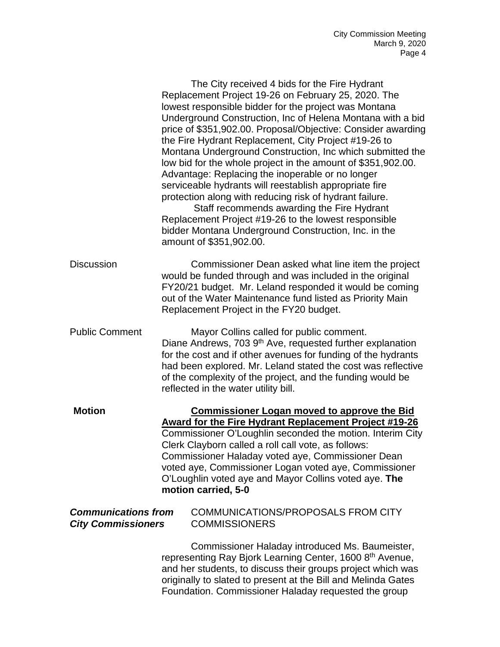|                                                         | The City received 4 bids for the Fire Hydrant<br>Replacement Project 19-26 on February 25, 2020. The<br>lowest responsible bidder for the project was Montana<br>Underground Construction, Inc of Helena Montana with a bid<br>price of \$351,902.00. Proposal/Objective: Consider awarding<br>the Fire Hydrant Replacement, City Project #19-26 to<br>Montana Underground Construction, Inc which submitted the<br>low bid for the whole project in the amount of \$351,902.00.<br>Advantage: Replacing the inoperable or no longer<br>serviceable hydrants will reestablish appropriate fire<br>protection along with reducing risk of hydrant failure.<br>Staff recommends awarding the Fire Hydrant<br>Replacement Project #19-26 to the lowest responsible<br>bidder Montana Underground Construction, Inc. in the<br>amount of \$351,902.00. |
|---------------------------------------------------------|----------------------------------------------------------------------------------------------------------------------------------------------------------------------------------------------------------------------------------------------------------------------------------------------------------------------------------------------------------------------------------------------------------------------------------------------------------------------------------------------------------------------------------------------------------------------------------------------------------------------------------------------------------------------------------------------------------------------------------------------------------------------------------------------------------------------------------------------------|
| <b>Discussion</b>                                       | Commissioner Dean asked what line item the project<br>would be funded through and was included in the original<br>FY20/21 budget. Mr. Leland responded it would be coming<br>out of the Water Maintenance fund listed as Priority Main<br>Replacement Project in the FY20 budget.                                                                                                                                                                                                                                                                                                                                                                                                                                                                                                                                                                  |
| <b>Public Comment</b>                                   | Mayor Collins called for public comment.<br>Diane Andrews, 703 9 <sup>th</sup> Ave, requested further explanation<br>for the cost and if other avenues for funding of the hydrants<br>had been explored. Mr. Leland stated the cost was reflective<br>of the complexity of the project, and the funding would be<br>reflected in the water utility bill.                                                                                                                                                                                                                                                                                                                                                                                                                                                                                           |
| <b>Motion</b>                                           | <b>Commissioner Logan moved to approve the Bid</b><br><b>Award for the Fire Hydrant Replacement Project #19-26</b><br>Commissioner O'Loughlin seconded the motion. Interim City<br>Clerk Clayborn called a roll call vote, as follows:<br>Commissioner Haladay voted aye, Commissioner Dean<br>voted aye, Commissioner Logan voted aye, Commissioner<br>O'Loughlin voted aye and Mayor Collins voted aye. The<br>motion carried, 5-0                                                                                                                                                                                                                                                                                                                                                                                                               |
| <b>Communications from</b><br><b>City Commissioners</b> | COMMUNICATIONS/PROPOSALS FROM CITY<br><b>COMMISSIONERS</b>                                                                                                                                                                                                                                                                                                                                                                                                                                                                                                                                                                                                                                                                                                                                                                                         |
|                                                         | Commissioner Haladay introduced Ms. Baumeister,<br>representing Ray Bjork Learning Center, 1600 8 <sup>th</sup> Avenue,<br>and her students, to discuss their groups project which was<br>originally to slated to present at the Bill and Melinda Gates<br>Foundation. Commissioner Haladay requested the group                                                                                                                                                                                                                                                                                                                                                                                                                                                                                                                                    |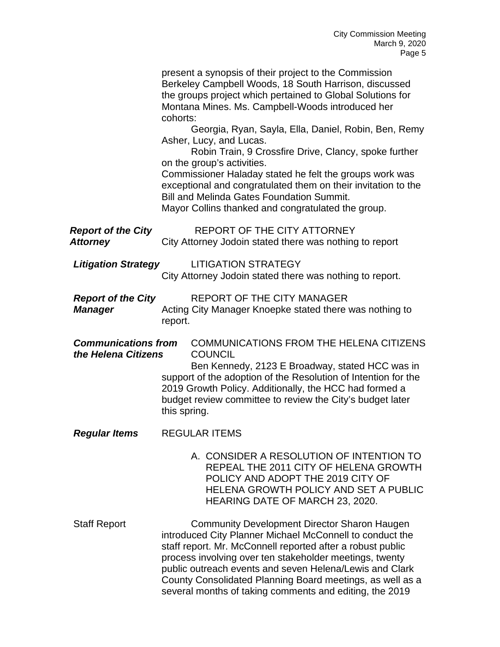|                                                   | present a synopsis of their project to the Commission<br>Berkeley Campbell Woods, 18 South Harrison, discussed<br>the groups project which pertained to Global Solutions for<br>Montana Mines. Ms. Campbell-Woods introduced her<br>cohorts:                                                                                                                                                                                |
|---------------------------------------------------|-----------------------------------------------------------------------------------------------------------------------------------------------------------------------------------------------------------------------------------------------------------------------------------------------------------------------------------------------------------------------------------------------------------------------------|
|                                                   | Georgia, Ryan, Sayla, Ella, Daniel, Robin, Ben, Remy<br>Asher, Lucy, and Lucas.<br>Robin Train, 9 Crossfire Drive, Clancy, spoke further<br>on the group's activities.<br>Commissioner Haladay stated he felt the groups work was<br>exceptional and congratulated them on their invitation to the<br><b>Bill and Melinda Gates Foundation Summit.</b><br>Mayor Collins thanked and congratulated the group.                |
| <b>Report of the City</b><br><b>Attorney</b>      | REPORT OF THE CITY ATTORNEY<br>City Attorney Jodoin stated there was nothing to report                                                                                                                                                                                                                                                                                                                                      |
| <b>Litigation Strategy</b>                        | <b>LITIGATION STRATEGY</b><br>City Attorney Jodoin stated there was nothing to report.                                                                                                                                                                                                                                                                                                                                      |
| <b>Report of the City</b><br><b>Manager</b>       | <b>REPORT OF THE CITY MANAGER</b><br>Acting City Manager Knoepke stated there was nothing to<br>report.                                                                                                                                                                                                                                                                                                                     |
| <b>Communications from</b><br>the Helena Citizens | COMMUNICATIONS FROM THE HELENA CITIZENS<br><b>COUNCIL</b><br>Ben Kennedy, 2123 E Broadway, stated HCC was in<br>support of the adoption of the Resolution of Intention for the<br>2019 Growth Policy. Additionally, the HCC had formed a<br>budget review committee to review the City's budget later<br>this spring.                                                                                                       |
| <b>Regular Items</b>                              | <b>REGULAR ITEMS</b>                                                                                                                                                                                                                                                                                                                                                                                                        |
|                                                   | A. CONSIDER A RESOLUTION OF INTENTION TO<br>REPEAL THE 2011 CITY OF HELENA GROWTH<br>POLICY AND ADOPT THE 2019 CITY OF<br>HELENA GROWTH POLICY AND SET A PUBLIC<br>HEARING DATE OF MARCH 23, 2020.                                                                                                                                                                                                                          |
| <b>Staff Report</b>                               | <b>Community Development Director Sharon Haugen</b><br>introduced City Planner Michael McConnell to conduct the<br>staff report. Mr. McConnell reported after a robust public<br>process involving over ten stakeholder meetings, twenty<br>public outreach events and seven Helena/Lewis and Clark<br>County Consolidated Planning Board meetings, as well as a<br>several months of taking comments and editing, the 2019 |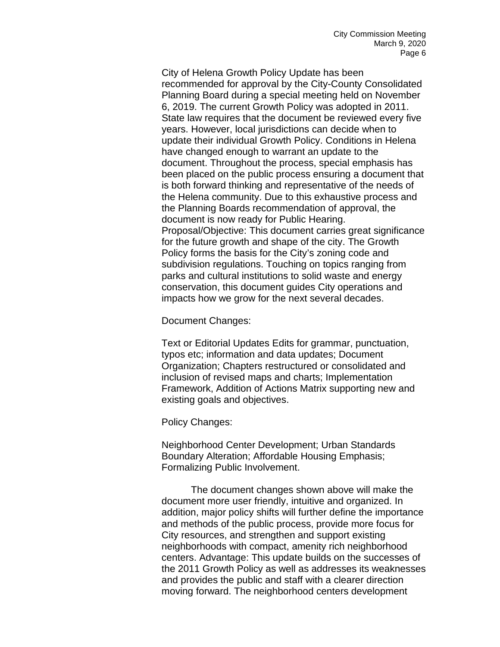City of Helena Growth Policy Update has been recommended for approval by the City-County Consolidated Planning Board during a special meeting held on November 6, 2019. The current Growth Policy was adopted in 2011. State law requires that the document be reviewed every five years. However, local jurisdictions can decide when to update their individual Growth Policy. Conditions in Helena have changed enough to warrant an update to the document. Throughout the process, special emphasis has been placed on the public process ensuring a document that is both forward thinking and representative of the needs of the Helena community. Due to this exhaustive process and the Planning Boards recommendation of approval, the document is now ready for Public Hearing. Proposal/Objective: This document carries great significance for the future growth and shape of the city. The Growth Policy forms the basis for the City's zoning code and subdivision regulations. Touching on topics ranging from parks and cultural institutions to solid waste and energy conservation, this document guides City operations and impacts how we grow for the next several decades.

Document Changes:

Text or Editorial Updates Edits for grammar, punctuation, typos etc; information and data updates; Document Organization; Chapters restructured or consolidated and inclusion of revised maps and charts; Implementation Framework, Addition of Actions Matrix supporting new and existing goals and objectives.

Policy Changes:

Neighborhood Center Development; Urban Standards Boundary Alteration; Affordable Housing Emphasis; Formalizing Public Involvement.

The document changes shown above will make the document more user friendly, intuitive and organized. In addition, major policy shifts will further define the importance and methods of the public process, provide more focus for City resources, and strengthen and support existing neighborhoods with compact, amenity rich neighborhood centers. Advantage: This update builds on the successes of the 2011 Growth Policy as well as addresses its weaknesses and provides the public and staff with a clearer direction moving forward. The neighborhood centers development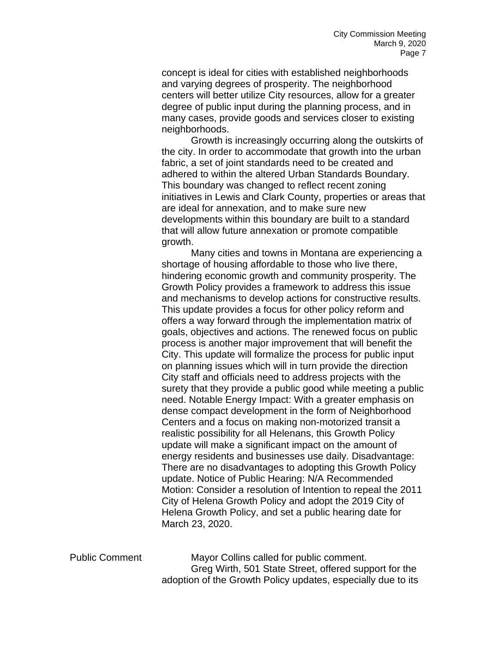concept is ideal for cities with established neighborhoods and varying degrees of prosperity. The neighborhood centers will better utilize City resources, allow for a greater degree of public input during the planning process, and in many cases, provide goods and services closer to existing neighborhoods.

Growth is increasingly occurring along the outskirts of the city. In order to accommodate that growth into the urban fabric, a set of joint standards need to be created and adhered to within the altered Urban Standards Boundary. This boundary was changed to reflect recent zoning initiatives in Lewis and Clark County, properties or areas that are ideal for annexation, and to make sure new developments within this boundary are built to a standard that will allow future annexation or promote compatible growth.

Many cities and towns in Montana are experiencing a shortage of housing affordable to those who live there, hindering economic growth and community prosperity. The Growth Policy provides a framework to address this issue and mechanisms to develop actions for constructive results. This update provides a focus for other policy reform and offers a way forward through the implementation matrix of goals, objectives and actions. The renewed focus on public process is another major improvement that will benefit the City. This update will formalize the process for public input on planning issues which will in turn provide the direction City staff and officials need to address projects with the surety that they provide a public good while meeting a public need. Notable Energy Impact: With a greater emphasis on dense compact development in the form of Neighborhood Centers and a focus on making non-motorized transit a realistic possibility for all Helenans, this Growth Policy update will make a significant impact on the amount of energy residents and businesses use daily. Disadvantage: There are no disadvantages to adopting this Growth Policy update. Notice of Public Hearing: N/A Recommended Motion: Consider a resolution of Intention to repeal the 2011 City of Helena Growth Policy and adopt the 2019 City of Helena Growth Policy, and set a public hearing date for March 23, 2020.

Public Comment Mayor Collins called for public comment. Greg Wirth, 501 State Street, offered support for the adoption of the Growth Policy updates, especially due to its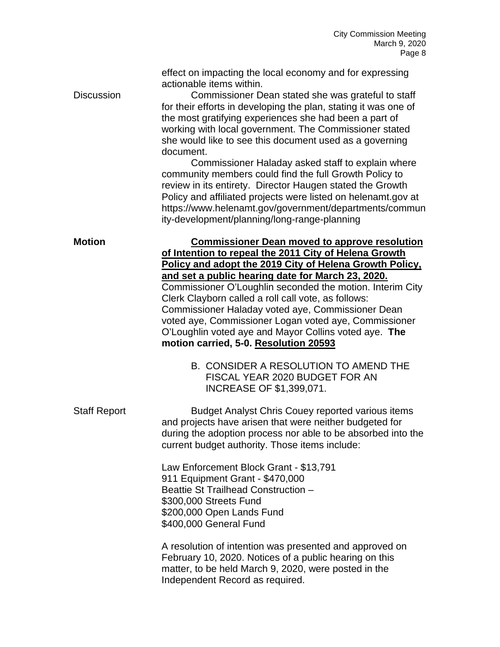effect on impacting the local economy and for expressing actionable items within.

Discussion Commissioner Dean stated she was grateful to staff for their efforts in developing the plan, stating it was one of the most gratifying experiences she had been a part of working with local government. The Commissioner stated she would like to see this document used as a governing document.

Commissioner Haladay asked staff to explain where community members could find the full Growth Policy to review in its entirety. Director Haugen stated the Growth Policy and affiliated projects were listed on helenamt.gov at https://www.helenamt.gov/government/departments/commun ity-development/planning/long-range-planning

**Motion Commissioner Dean moved to approve resolution of Intention to repeal the 2011 City of Helena Growth Policy and adopt the 2019 City of Helena Growth Policy, and set a public hearing date for March 23, 2020.** Commissioner O'Loughlin seconded the motion. Interim City Clerk Clayborn called a roll call vote, as follows: Commissioner Haladay voted aye, Commissioner Dean voted aye, Commissioner Logan voted aye, Commissioner O'Loughlin voted aye and Mayor Collins voted aye. **The motion carried, 5-0. Resolution 20593**

- B. CONSIDER A RESOLUTION TO AMEND THE FISCAL YEAR 2020 BUDGET FOR AN INCREASE OF \$1,399,071.
- Staff Report Budget Analyst Chris Couey reported various items and projects have arisen that were neither budgeted for during the adoption process nor able to be absorbed into the current budget authority. Those items include:

Law Enforcement Block Grant - \$13,791 911 Equipment Grant - \$470,000 Beattie St Trailhead Construction – \$300,000 Streets Fund \$200,000 Open Lands Fund \$400,000 General Fund

A resolution of intention was presented and approved on February 10, 2020. Notices of a public hearing on this matter, to be held March 9, 2020, were posted in the Independent Record as required.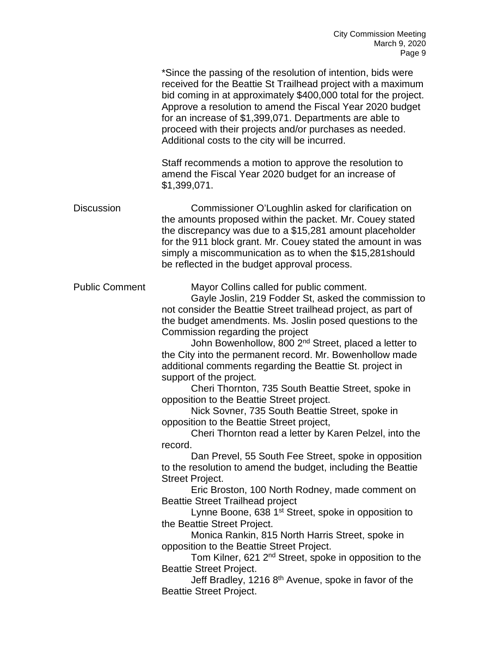|                       | *Since the passing of the resolution of intention, bids were<br>received for the Beattie St Trailhead project with a maximum<br>bid coming in at approximately \$400,000 total for the project.<br>Approve a resolution to amend the Fiscal Year 2020 budget<br>for an increase of \$1,399,071. Departments are able to<br>proceed with their projects and/or purchases as needed.<br>Additional costs to the city will be incurred.                                                                                                                                                                                                                                                                                                                                                                                                                                                                                                                                                                                                                                                                                                                                                                                                                                                                                                                                                                                              |
|-----------------------|-----------------------------------------------------------------------------------------------------------------------------------------------------------------------------------------------------------------------------------------------------------------------------------------------------------------------------------------------------------------------------------------------------------------------------------------------------------------------------------------------------------------------------------------------------------------------------------------------------------------------------------------------------------------------------------------------------------------------------------------------------------------------------------------------------------------------------------------------------------------------------------------------------------------------------------------------------------------------------------------------------------------------------------------------------------------------------------------------------------------------------------------------------------------------------------------------------------------------------------------------------------------------------------------------------------------------------------------------------------------------------------------------------------------------------------|
|                       | Staff recommends a motion to approve the resolution to<br>amend the Fiscal Year 2020 budget for an increase of<br>\$1,399,071.                                                                                                                                                                                                                                                                                                                                                                                                                                                                                                                                                                                                                                                                                                                                                                                                                                                                                                                                                                                                                                                                                                                                                                                                                                                                                                    |
| <b>Discussion</b>     | Commissioner O'Loughlin asked for clarification on<br>the amounts proposed within the packet. Mr. Couey stated<br>the discrepancy was due to a \$15,281 amount placeholder<br>for the 911 block grant. Mr. Couey stated the amount in was<br>simply a miscommunication as to when the \$15,281 should<br>be reflected in the budget approval process.                                                                                                                                                                                                                                                                                                                                                                                                                                                                                                                                                                                                                                                                                                                                                                                                                                                                                                                                                                                                                                                                             |
| <b>Public Comment</b> | Mayor Collins called for public comment.<br>Gayle Joslin, 219 Fodder St, asked the commission to<br>not consider the Beattie Street trailhead project, as part of<br>the budget amendments. Ms. Joslin posed questions to the<br>Commission regarding the project<br>John Bowenhollow, 800 2 <sup>nd</sup> Street, placed a letter to<br>the City into the permanent record. Mr. Bowenhollow made<br>additional comments regarding the Beattie St. project in<br>support of the project.<br>Cheri Thornton, 735 South Beattie Street, spoke in<br>opposition to the Beattie Street project.<br>Nick Sovner, 735 South Beattie Street, spoke in<br>opposition to the Beattie Street project,<br>Cheri Thornton read a letter by Karen Pelzel, into the<br>record.<br>Dan Prevel, 55 South Fee Street, spoke in opposition<br>to the resolution to amend the budget, including the Beattie<br><b>Street Project.</b><br>Eric Broston, 100 North Rodney, made comment on<br><b>Beattie Street Trailhead project</b><br>Lynne Boone, 638 1 <sup>st</sup> Street, spoke in opposition to<br>the Beattie Street Project.<br>Monica Rankin, 815 North Harris Street, spoke in<br>opposition to the Beattie Street Project.<br>Tom Kilner, 621 2 <sup>nd</sup> Street, spoke in opposition to the<br><b>Beattie Street Project.</b><br>Jeff Bradley, 1216 8 <sup>th</sup> Avenue, spoke in favor of the<br><b>Beattie Street Project.</b> |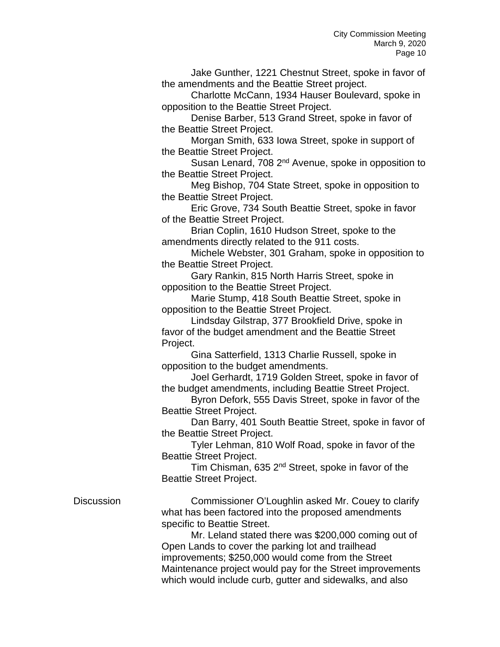Jake Gunther, 1221 Chestnut Street, spoke in favor of the amendments and the Beattie Street project.

Charlotte McCann, 1934 Hauser Boulevard, spoke in opposition to the Beattie Street Project.

Denise Barber, 513 Grand Street, spoke in favor of the Beattie Street Project.

Morgan Smith, 633 Iowa Street, spoke in support of the Beattie Street Project.

Susan Lenard, 708 2<sup>nd</sup> Avenue, spoke in opposition to the Beattie Street Project.

Meg Bishop, 704 State Street, spoke in opposition to the Beattie Street Project.

Eric Grove, 734 South Beattie Street, spoke in favor of the Beattie Street Project.

Brian Coplin, 1610 Hudson Street, spoke to the amendments directly related to the 911 costs.

Michele Webster, 301 Graham, spoke in opposition to the Beattie Street Project.

Gary Rankin, 815 North Harris Street, spoke in opposition to the Beattie Street Project.

Marie Stump, 418 South Beattie Street, spoke in opposition to the Beattie Street Project.

Lindsday Gilstrap, 377 Brookfield Drive, spoke in favor of the budget amendment and the Beattie Street Project.

Gina Satterfield, 1313 Charlie Russell, spoke in opposition to the budget amendments.

Joel Gerhardt, 1719 Golden Street, spoke in favor of the budget amendments, including Beattie Street Project.

Byron Defork, 555 Davis Street, spoke in favor of the Beattie Street Project.

Dan Barry, 401 South Beattie Street, spoke in favor of the Beattie Street Project.

Tyler Lehman, 810 Wolf Road, spoke in favor of the Beattie Street Project.

Tim Chisman, 635  $2^{nd}$  Street, spoke in favor of the Beattie Street Project.

Discussion Commissioner O'Loughlin asked Mr. Couey to clarify what has been factored into the proposed amendments specific to Beattie Street.

> Mr. Leland stated there was \$200,000 coming out of Open Lands to cover the parking lot and trailhead improvements; \$250,000 would come from the Street Maintenance project would pay for the Street improvements which would include curb, gutter and sidewalks, and also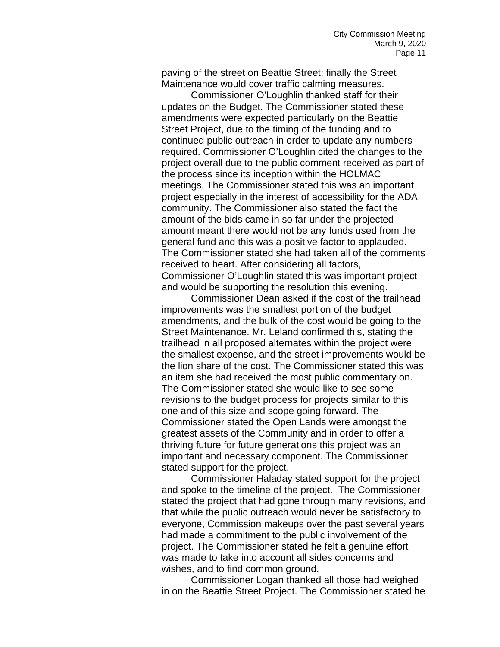paving of the street on Beattie Street; finally the Street Maintenance would cover traffic calming measures.

Commissioner O'Loughlin thanked staff for their updates on the Budget. The Commissioner stated these amendments were expected particularly on the Beattie Street Project, due to the timing of the funding and to continued public outreach in order to update any numbers required. Commissioner O'Loughlin cited the changes to the project overall due to the public comment received as part of the process since its inception within the HOLMAC meetings. The Commissioner stated this was an important project especially in the interest of accessibility for the ADA community. The Commissioner also stated the fact the amount of the bids came in so far under the projected amount meant there would not be any funds used from the general fund and this was a positive factor to applauded. The Commissioner stated she had taken all of the comments received to heart. After considering all factors, Commissioner O'Loughlin stated this was important project and would be supporting the resolution this evening.

Commissioner Dean asked if the cost of the trailhead improvements was the smallest portion of the budget amendments, and the bulk of the cost would be going to the Street Maintenance. Mr. Leland confirmed this, stating the trailhead in all proposed alternates within the project were the smallest expense, and the street improvements would be the lion share of the cost. The Commissioner stated this was an item she had received the most public commentary on. The Commissioner stated she would like to see some revisions to the budget process for projects similar to this one and of this size and scope going forward. The Commissioner stated the Open Lands were amongst the greatest assets of the Community and in order to offer a thriving future for future generations this project was an important and necessary component. The Commissioner stated support for the project.

Commissioner Haladay stated support for the project and spoke to the timeline of the project. The Commissioner stated the project that had gone through many revisions, and that while the public outreach would never be satisfactory to everyone, Commission makeups over the past several years had made a commitment to the public involvement of the project. The Commissioner stated he felt a genuine effort was made to take into account all sides concerns and wishes, and to find common ground.

Commissioner Logan thanked all those had weighed in on the Beattie Street Project. The Commissioner stated he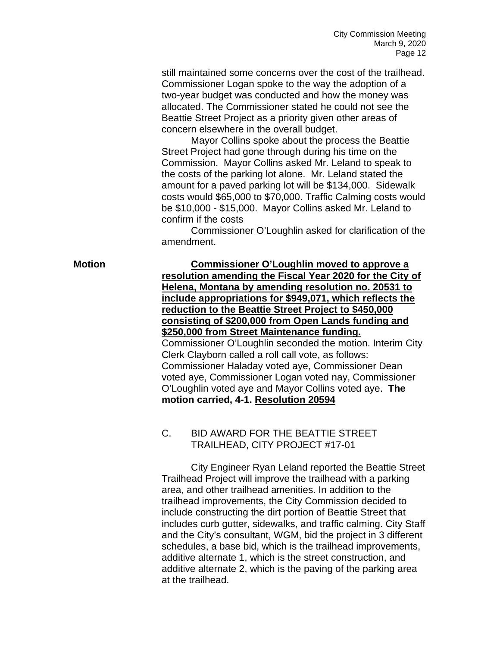still maintained some concerns over the cost of the trailhead. Commissioner Logan spoke to the way the adoption of a two-year budget was conducted and how the money was allocated. The Commissioner stated he could not see the Beattie Street Project as a priority given other areas of concern elsewhere in the overall budget.

Mayor Collins spoke about the process the Beattie Street Project had gone through during his time on the Commission. Mayor Collins asked Mr. Leland to speak to the costs of the parking lot alone. Mr. Leland stated the amount for a paved parking lot will be \$134,000. Sidewalk costs would \$65,000 to \$70,000. Traffic Calming costs would be \$10,000 - \$15,000. Mayor Collins asked Mr. Leland to confirm if the costs

Commissioner O'Loughlin asked for clarification of the amendment.

**Motion Commissioner O'Loughlin moved to approve a resolution amending the Fiscal Year 2020 for the City of Helena, Montana by amending resolution no. 20531 to include appropriations for \$949,071, which reflects the reduction to the Beattie Street Project to \$450,000 consisting of \$200,000 from Open Lands funding and \$250,000 from Street Maintenance funding.** Commissioner O'Loughlin seconded the motion. Interim City Clerk Clayborn called a roll call vote, as follows: Commissioner Haladay voted aye, Commissioner Dean voted aye, Commissioner Logan voted nay, Commissioner O'Loughlin voted aye and Mayor Collins voted aye. **The motion carried, 4-1. Resolution 20594**

## C. BID AWARD FOR THE BEATTIE STREET TRAILHEAD, CITY PROJECT #17-01

City Engineer Ryan Leland reported the Beattie Street Trailhead Project will improve the trailhead with a parking area, and other trailhead amenities. In addition to the trailhead improvements, the City Commission decided to include constructing the dirt portion of Beattie Street that includes curb gutter, sidewalks, and traffic calming. City Staff and the City's consultant, WGM, bid the project in 3 different schedules, a base bid, which is the trailhead improvements, additive alternate 1, which is the street construction, and additive alternate 2, which is the paving of the parking area at the trailhead.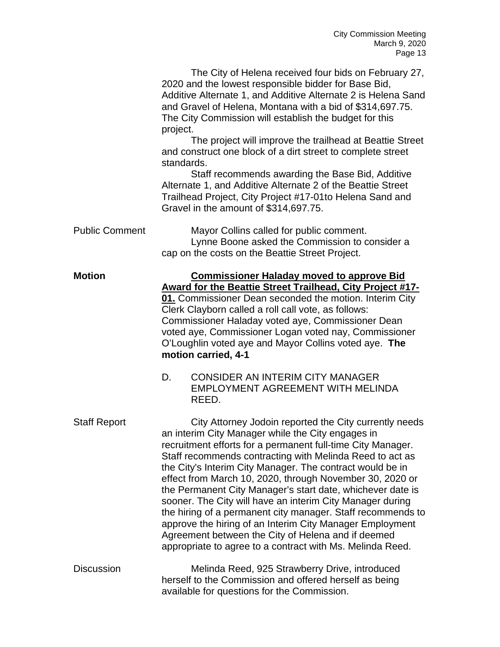The City of Helena received four bids on February 27, 2020 and the lowest responsible bidder for Base Bid, Additive Alternate 1, and Additive Alternate 2 is Helena Sand and Gravel of Helena, Montana with a bid of \$314,697.75. The City Commission will establish the budget for this project.

The project will improve the trailhead at Beattie Street and construct one block of a dirt street to complete street standards.

Staff recommends awarding the Base Bid, Additive Alternate 1, and Additive Alternate 2 of the Beattie Street Trailhead Project, City Project #17-01to Helena Sand and Gravel in the amount of \$314,697.75.

| <b>Public Comment</b> | Mayor Collins called for public comment.        |
|-----------------------|-------------------------------------------------|
|                       | Lynne Boone asked the Commission to consider a  |
|                       | cap on the costs on the Beattie Street Project. |

## **Motion Commissioner Haladay moved to approve Bid Award for the Beattie Street Trailhead, City Project #17- 01.** Commissioner Dean seconded the motion. Interim City Clerk Clayborn called a roll call vote, as follows: Commissioner Haladay voted aye, Commissioner Dean voted aye, Commissioner Logan voted nay, Commissioner O'Loughlin voted aye and Mayor Collins voted aye. **The motion carried, 4-1**

- D. CONSIDER AN INTERIM CITY MANAGER EMPLOYMENT AGREEMENT WITH MELINDA REED.
- Staff Report City Attorney Jodoin reported the City currently needs an interim City Manager while the City engages in recruitment efforts for a permanent full-time City Manager. Staff recommends contracting with Melinda Reed to act as the City's Interim City Manager. The contract would be in effect from March 10, 2020, through November 30, 2020 or the Permanent City Manager's start date, whichever date is sooner. The City will have an interim City Manager during the hiring of a permanent city manager. Staff recommends to approve the hiring of an Interim City Manager Employment Agreement between the City of Helena and if deemed appropriate to agree to a contract with Ms. Melinda Reed.
- Discussion Melinda Reed, 925 Strawberry Drive, introduced herself to the Commission and offered herself as being available for questions for the Commission.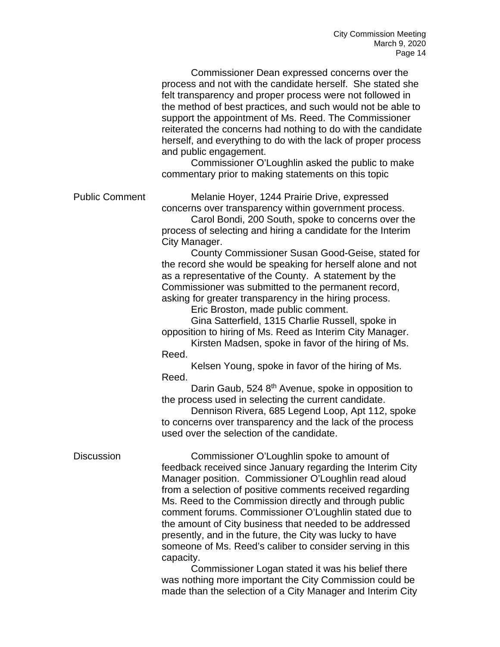Commissioner Dean expressed concerns over the process and not with the candidate herself. She stated she felt transparency and proper process were not followed in the method of best practices, and such would not be able to support the appointment of Ms. Reed. The Commissioner reiterated the concerns had nothing to do with the candidate herself, and everything to do with the lack of proper process and public engagement.

Commissioner O'Loughlin asked the public to make commentary prior to making statements on this topic

Public Comment Melanie Hoyer, 1244 Prairie Drive, expressed concerns over transparency within government process.

> Carol Bondi, 200 South, spoke to concerns over the process of selecting and hiring a candidate for the Interim City Manager.

County Commissioner Susan Good-Geise, stated for the record she would be speaking for herself alone and not as a representative of the County. A statement by the Commissioner was submitted to the permanent record, asking for greater transparency in the hiring process.

Eric Broston, made public comment.

Gina Satterfield, 1315 Charlie Russell, spoke in opposition to hiring of Ms. Reed as Interim City Manager.

Kirsten Madsen, spoke in favor of the hiring of Ms. Reed.

Kelsen Young, spoke in favor of the hiring of Ms. Reed.

Darin Gaub, 524 8<sup>th</sup> Avenue, spoke in opposition to the process used in selecting the current candidate.

Dennison Rivera, 685 Legend Loop, Apt 112, spoke to concerns over transparency and the lack of the process used over the selection of the candidate.

Discussion Commissioner O'Loughlin spoke to amount of feedback received since January regarding the Interim City Manager position. Commissioner O'Loughlin read aloud from a selection of positive comments received regarding Ms. Reed to the Commission directly and through public comment forums. Commissioner O'Loughlin stated due to the amount of City business that needed to be addressed presently, and in the future, the City was lucky to have someone of Ms. Reed's caliber to consider serving in this capacity.

> Commissioner Logan stated it was his belief there was nothing more important the City Commission could be made than the selection of a City Manager and Interim City